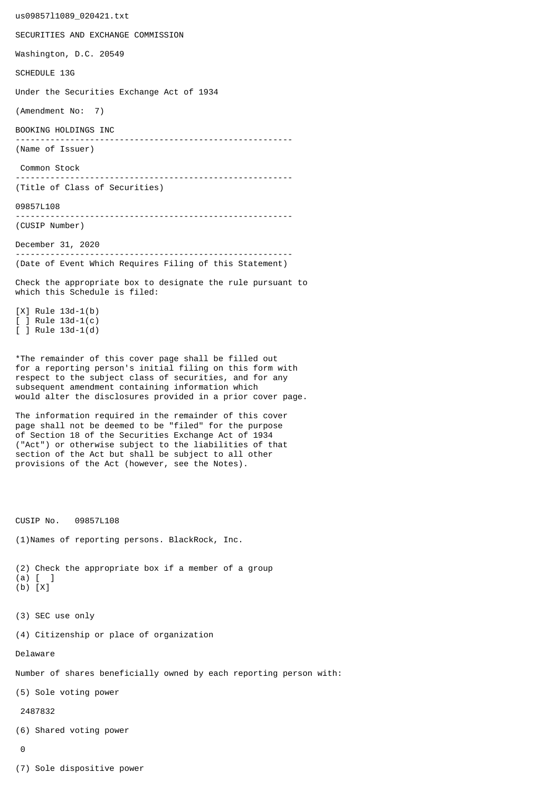us09857l1089\_020421.txt SECURITIES AND EXCHANGE COMMISSION Washington, D.C. 20549 SCHEDULE 13G Under the Securities Exchange Act of 1934 (Amendment No: 7) BOOKING HOLDINGS INC -------------------------------------------------------- (Name of Issuer) Common Stock -------------------------------------------------------- (Title of Class of Securities) 09857L108 -------------------------------------------------------- (CUSIP Number) December 31, 2020 -------------------------------------------------------- (Date of Event Which Requires Filing of this Statement) Check the appropriate box to designate the rule pursuant to which this Schedule is filed: [X] Rule 13d-1(b) [ ] Rule 13d-1(c) [ ] Rule 13d-1(d) \*The remainder of this cover page shall be filled out for a reporting person's initial filing on this form with respect to the subject class of securities, and for any subsequent amendment containing information which would alter the disclosures provided in a prior cover page. The information required in the remainder of this cover page shall not be deemed to be "filed" for the purpose of Section 18 of the Securities Exchange Act of 1934 ("Act") or otherwise subject to the liabilities of that section of the Act but shall be subject to all other provisions of the Act (however, see the Notes). CUSIP No. 09857L108 (1)Names of reporting persons. BlackRock, Inc. (2) Check the appropriate box if a member of a group (a) [ ] (b) [X] (3) SEC use only (4) Citizenship or place of organization Delaware Number of shares beneficially owned by each reporting person with: (5) Sole voting power 2487832 (6) Shared voting power  $\Omega$ 

(7) Sole dispositive power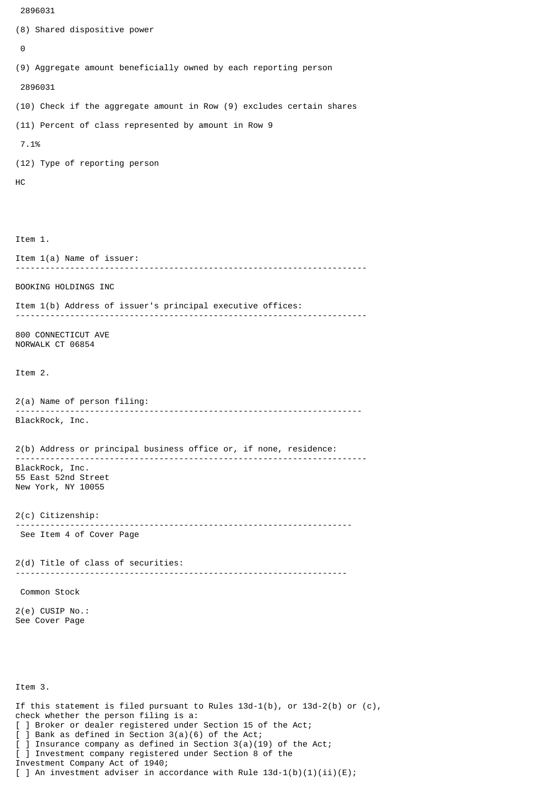```
 2896031
```

```
(8) Shared dispositive power
 \boldsymbol{\Theta}(9) Aggregate amount beneficially owned by each reporting person
  2896031
(10) Check if the aggregate amount in Row (9) excludes certain shares
(11) Percent of class represented by amount in Row 9
  7.1%
(12) Type of reporting person
HC
Item 1.
Item 1(a) Name of issuer:
           -----------------------------------------------------------------------
BOOKING HOLDINGS INC
Item 1(b) Address of issuer's principal executive offices:
 -----------------------------------------------------------------------
800 CONNECTICUT AVE
NORWALK CT 06854
Item 2.
2(a) Name of person filing:
               ----------------------------------------------------------------------
BlackRock, Inc.
2(b) Address or principal business office or, if none, residence:
 -----------------------------------------------------------------------
BlackRock, Inc.
55 East 52nd Street
New York, NY 10055
2(c) Citizenship:
                            --------------------------------------------------------------------
 See Item 4 of Cover Page
2(d) Title of class of securities:
                                      -------------------------------------------------------------------
 Common Stock
2(e) CUSIP No.:
See Cover Page
Item 3.
If this statement is filed pursuant to Rules 13d-1(b), or 13d-2(b) or (c),
check whether the person filing is a:
[ ] Broker or dealer registered under Section 15 of the Act;
[ ] Bank as defined in Section 3(a)(6) of the Act;
  ] Insurance company as defined in Section 3(a)(19) of the Act;
[ ] Investment company registered under Section 8 of the
```
Investment Company Act of 1940;

[ ] An investment adviser in accordance with Rule  $13d-1(b)(1)(ii)(E)$ ;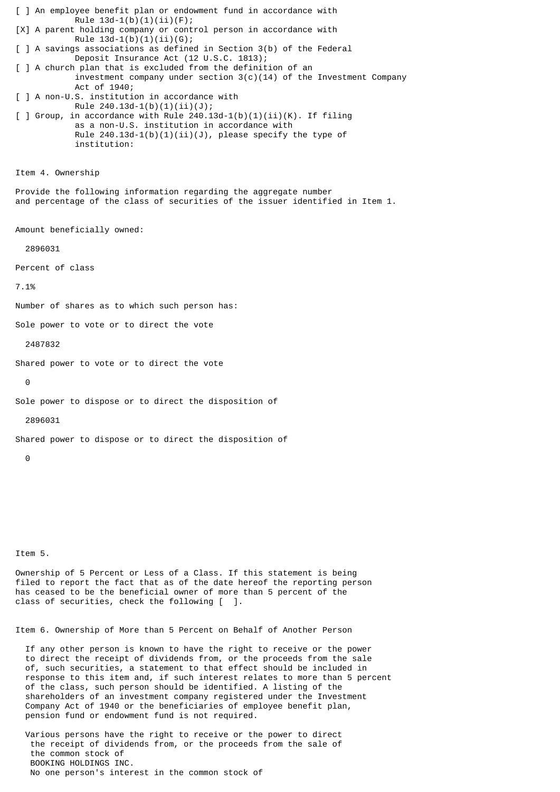[ ] An employee benefit plan or endowment fund in accordance with Rule  $13d-1(b)(1)(ii)(F);$ [X] A parent holding company or control person in accordance with Rule  $13d-1(b)(1)(ii)(G);$ [ ] A savings associations as defined in Section 3(b) of the Federal Deposit Insurance Act (12 U.S.C. 1813); [ ] A church plan that is excluded from the definition of an investment company under section  $3(c)(14)$  of the Investment Company Act of 1940; [ ] A non-U.S. institution in accordance with Rule 240.13d-1(b)(1)(ii)(J);  $\lceil$  ] Group, in accordance with Rule 240.13d-1(b)(1)(ii)(K). If filing as a non-U.S. institution in accordance with Rule  $240.13d-1(b)(1)(ii)(J)$ , please specify the type of institution: Item 4. Ownership Provide the following information regarding the aggregate number and percentage of the class of securities of the issuer identified in Item 1. Amount beneficially owned: 2896031 Percent of class 7.1% Number of shares as to which such person has: Sole power to vote or to direct the vote 2487832 Shared power to vote or to direct the vote  $\Theta$ Sole power to dispose or to direct the disposition of 2896031 Shared power to dispose or to direct the disposition of  $\Omega$ 

Item 5.

Ownership of 5 Percent or Less of a Class. If this statement is being filed to report the fact that as of the date hereof the reporting person has ceased to be the beneficial owner of more than 5 percent of the class of securities, check the following [ ].

Item 6. Ownership of More than 5 Percent on Behalf of Another Person

 If any other person is known to have the right to receive or the power to direct the receipt of dividends from, or the proceeds from the sale of, such securities, a statement to that effect should be included in response to this item and, if such interest relates to more than 5 percent of the class, such person should be identified. A listing of the shareholders of an investment company registered under the Investment Company Act of 1940 or the beneficiaries of employee benefit plan, pension fund or endowment fund is not required.

 Various persons have the right to receive or the power to direct the receipt of dividends from, or the proceeds from the sale of the common stock of BOOKING HOLDINGS INC. No one person's interest in the common stock of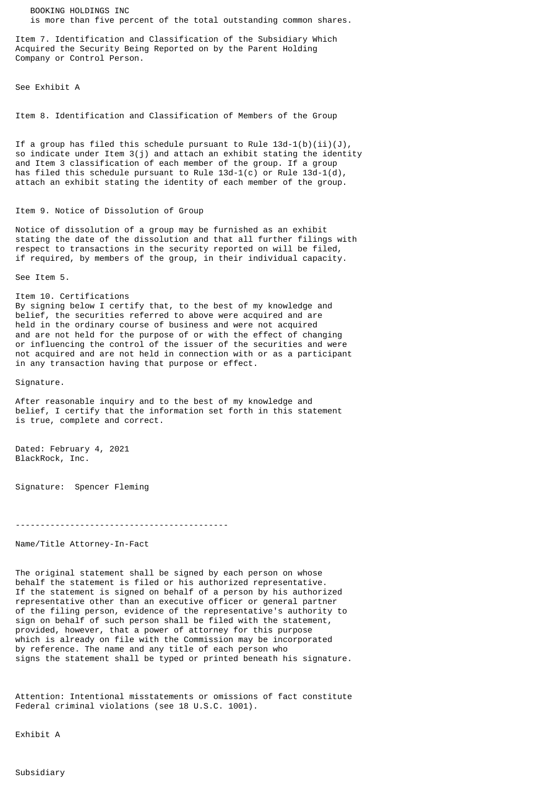BOOKING HOLDINGS INC is more than five percent of the total outstanding common shares.

Item 7. Identification and Classification of the Subsidiary Which Acquired the Security Being Reported on by the Parent Holding Company or Control Person.

See Exhibit A

Item 8. Identification and Classification of Members of the Group

If a group has filed this schedule pursuant to Rule  $13d-1(b)(ii)(J)$ , so indicate under Item 3(j) and attach an exhibit stating the identity and Item 3 classification of each member of the group. If a group has filed this schedule pursuant to Rule  $13d-1(c)$  or Rule  $13d-1(d)$ , attach an exhibit stating the identity of each member of the group.

## Item 9. Notice of Dissolution of Group

Notice of dissolution of a group may be furnished as an exhibit stating the date of the dissolution and that all further filings with respect to transactions in the security reported on will be filed, if required, by members of the group, in their individual capacity.

See Item 5.

Item 10. Certifications By signing below I certify that, to the best of my knowledge and belief, the securities referred to above were acquired and are held in the ordinary course of business and were not acquired and are not held for the purpose of or with the effect of changing or influencing the control of the issuer of the securities and were not acquired and are not held in connection with or as a participant

in any transaction having that purpose or effect.

Signature.

After reasonable inquiry and to the best of my knowledge and belief, I certify that the information set forth in this statement is true, complete and correct.

Dated: February 4, 2021 BlackRock, Inc.

Signature: Spencer Fleming

-------------------------------------------

Name/Title Attorney-In-Fact

The original statement shall be signed by each person on whose behalf the statement is filed or his authorized representative. If the statement is signed on behalf of a person by his authorized representative other than an executive officer or general partner of the filing person, evidence of the representative's authority to sign on behalf of such person shall be filed with the statement, provided, however, that a power of attorney for this purpose which is already on file with the Commission may be incorporated by reference. The name and any title of each person who signs the statement shall be typed or printed beneath his signature.

Attention: Intentional misstatements or omissions of fact constitute Federal criminal violations (see 18 U.S.C. 1001).

Exhibit A